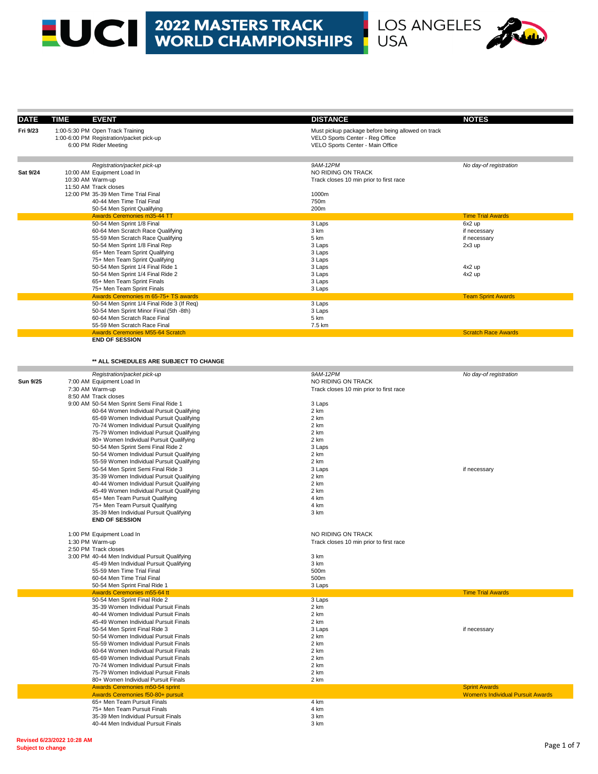# **EUCE 2022 MASTERS TRACK<br>WORLD CHAMPIONSHIPS**



| <b>DATE</b>     | TIME<br><b>EVENT</b>                                                                   | <b>DISTANCE</b>                                   | <b>NOTES</b>                             |
|-----------------|----------------------------------------------------------------------------------------|---------------------------------------------------|------------------------------------------|
| Fri 9/23        | 1:00-5:30 PM Open Track Training                                                       | Must pickup package before being allowed on track |                                          |
|                 | 1:00-6:00 PM Registration/packet pick-up                                               | VELO Sports Center - Reg Office                   |                                          |
|                 | 6:00 PM Rider Meeting                                                                  | VELO Sports Center - Main Office                  |                                          |
|                 |                                                                                        |                                                   |                                          |
|                 | Registration/packet pick-up                                                            | 9AM-12PM                                          | No day-of registration                   |
| Sat 9/24        | 10:00 AM Equipment Load In                                                             | NO RIDING ON TRACK                                |                                          |
|                 | 10:30 AM Warm-up                                                                       | Track closes 10 min prior to first race           |                                          |
|                 | 11:50 AM Track closes                                                                  |                                                   |                                          |
|                 | 12:00 PM 35-39 Men Time Trial Final                                                    | 1000m                                             |                                          |
|                 | 40-44 Men Time Trial Final<br>50-54 Men Sprint Qualifying                              | 750m<br>200m                                      |                                          |
|                 | <b>Awards Ceremonies m35-44 TT</b>                                                     |                                                   | <b>Time Trial Awards</b>                 |
|                 | 50-54 Men Sprint 1/8 Final                                                             | 3 Laps                                            | 6x2 up                                   |
|                 | 60-64 Men Scratch Race Qualifying                                                      | 3 km                                              | if necessary                             |
|                 | 55-59 Men Scratch Race Qualifying                                                      | 5 km                                              | if necessary                             |
|                 | 50-54 Men Sprint 1/8 Final Rep                                                         | 3 Laps                                            | 2x3 up                                   |
|                 | 65+ Men Team Sprint Qualifying                                                         | 3 Laps                                            |                                          |
|                 | 75+ Men Team Sprint Qualifying                                                         | 3 Laps                                            |                                          |
|                 | 50-54 Men Sprint 1/4 Final Ride 1<br>50-54 Men Sprint 1/4 Final Ride 2                 | 3 Laps<br>3 Laps                                  | 4x2 up<br>4x2 up                         |
|                 | 65+ Men Team Sprint Finals                                                             | 3 Laps                                            |                                          |
|                 | 75+ Men Team Sprint Finals                                                             | 3 Laps                                            |                                          |
|                 | Awards Ceremonies m 65-75+ TS awards                                                   |                                                   | <b>Team Sprint Awards</b>                |
|                 | 50-54 Men Sprint 1/4 Final Ride 3 (If Req)                                             | 3 Laps                                            |                                          |
|                 | 50-54 Men Sprint Minor Final (5th -8th)                                                | 3 Laps                                            |                                          |
|                 | 60-64 Men Scratch Race Final                                                           | 5 km                                              |                                          |
|                 | 55-59 Men Scratch Race Final<br><b>Awards Ceremonies M55-64 Scratch</b>                | 7.5 km                                            | <b>Scratch Race Awards</b>               |
|                 | <b>END OF SESSION</b>                                                                  |                                                   |                                          |
|                 |                                                                                        |                                                   |                                          |
|                 |                                                                                        |                                                   |                                          |
|                 | ** ALL SCHEDULES ARE SUBJECT TO CHANGE                                                 |                                                   |                                          |
|                 | Registration/packet pick-up                                                            | 9AM-12PM                                          | No day-of registration                   |
| <b>Sun 9/25</b> | 7:00 AM Equipment Load In                                                              | NO RIDING ON TRACK                                |                                          |
|                 | 7:30 AM Warm-up                                                                        | Track closes 10 min prior to first race           |                                          |
|                 | 8:50 AM Track closes                                                                   |                                                   |                                          |
|                 | 9:00 AM 50-54 Men Sprint Semi Final Ride 1                                             | 3 Laps                                            |                                          |
|                 | 60-64 Women Individual Pursuit Qualifying<br>65-69 Women Individual Pursuit Qualifying | 2 km<br>2 km                                      |                                          |
|                 | 70-74 Women Individual Pursuit Qualifying                                              | 2 km                                              |                                          |
|                 | 75-79 Women Individual Pursuit Qualifying                                              | 2 km                                              |                                          |
|                 | 80+ Women Individual Pursuit Qualifying                                                | 2 km                                              |                                          |
|                 | 50-54 Men Sprint Semi Final Ride 2                                                     | 3 Laps                                            |                                          |
|                 | 50-54 Women Individual Pursuit Qualifying                                              | 2 km                                              |                                          |
|                 | 55-59 Women Individual Pursuit Qualifying                                              | 2 km                                              |                                          |
|                 | 50-54 Men Sprint Semi Final Ride 3                                                     | 3 Laps<br>2 km                                    | if necessary                             |
|                 | 35-39 Women Individual Pursuit Qualifying<br>40-44 Women Individual Pursuit Qualifying | 2 km                                              |                                          |
|                 | 45-49 Women Individual Pursuit Qualifying                                              | 2 km                                              |                                          |
|                 | 65+ Men Team Pursuit Qualifying                                                        | 4 km                                              |                                          |
|                 | 75+ Men Team Pursuit Qualifying                                                        | 4 km                                              |                                          |
|                 | 35-39 Men Individual Pursuit Qualifying                                                | 3 km                                              |                                          |
|                 | <b>END OF SESSION</b>                                                                  |                                                   |                                          |
|                 | 1:00 PM Equipment Load In                                                              | NO RIDING ON TRACK                                |                                          |
|                 | 1:30 PM Warm-up                                                                        | Track closes 10 min prior to first race           |                                          |
|                 | 2:50 PM Track closes                                                                   |                                                   |                                          |
|                 | 3:00 PM 40-44 Men Individual Pursuit Qualifying                                        | 3 km                                              |                                          |
|                 | 45-49 Men Individual Pursuit Qualifying                                                | 3 km                                              |                                          |
|                 | 55-59 Men Time Trial Final                                                             | 500m                                              |                                          |
|                 | 60-64 Men Time Trial Final                                                             | 500m                                              |                                          |
|                 | 50-54 Men Sprint Final Ride 1<br>Awards Ceremonies m55-64 tt                           | 3 Laps                                            | <b>Time Trial Awards</b>                 |
|                 | 50-54 Men Sprint Final Ride 2                                                          | 3 Laps                                            |                                          |
|                 | 35-39 Women Individual Pursuit Finals                                                  | 2 km                                              |                                          |
|                 | 40-44 Women Individual Pursuit Finals                                                  | 2 km                                              |                                          |
|                 | 45-49 Women Individual Pursuit Finals                                                  | 2 km                                              |                                          |
|                 | 50-54 Men Sprint Final Ride 3                                                          | 3 Laps                                            | if necessary                             |
|                 | 50-54 Women Individual Pursuit Finals                                                  | 2 km                                              |                                          |
|                 | 55-59 Women Individual Pursuit Finals                                                  | 2 km                                              |                                          |
|                 | 60-64 Women Individual Pursuit Finals<br>65-69 Women Individual Pursuit Finals         | 2 km<br>2 km                                      |                                          |
|                 | 70-74 Women Individual Pursuit Finals                                                  | 2 km                                              |                                          |
|                 | 75-79 Women Individual Pursuit Finals                                                  | 2 km                                              |                                          |
|                 | 80+ Women Individual Pursuit Finals                                                    | 2 km                                              |                                          |
|                 | Awards Ceremonies m50-54 sprint                                                        |                                                   | <b>Sprint Awards</b>                     |
|                 | Awards Ceremonies f50-80+ pursuit<br>65+ Men Team Pursuit Finals                       | 4 km                                              | <b>Women's Individual Pursuit Awards</b> |
|                 | 75+ Men Team Pursuit Finals                                                            | 4 km                                              |                                          |
|                 | 35-39 Men Individual Pursuit Finals                                                    | 3 km                                              |                                          |
|                 | 40-44 Men Individual Pursuit Finals                                                    | 3 km                                              |                                          |

ı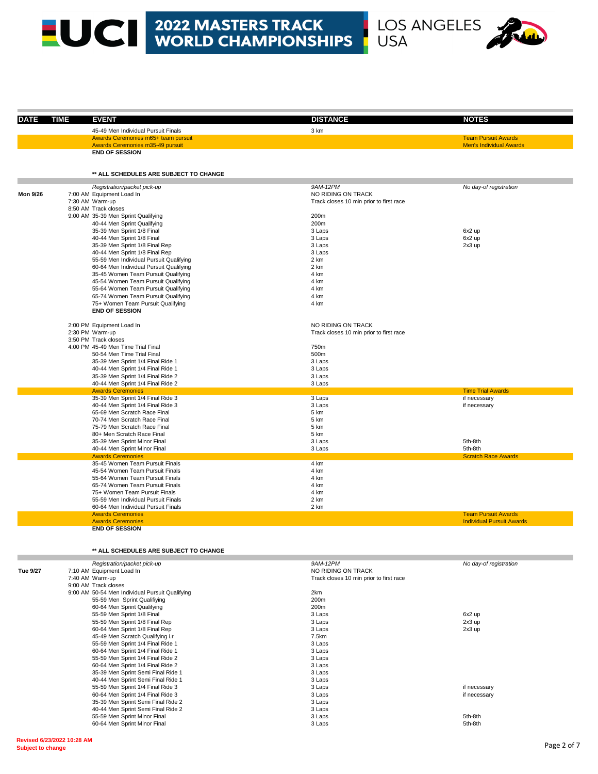# LOS ANGELES



| <b>DATE</b>     | <b>TIME</b> | <b>EVENT</b>                                               | <b>DISTANCE</b>                         | <b>NOTES</b>                                                   |
|-----------------|-------------|------------------------------------------------------------|-----------------------------------------|----------------------------------------------------------------|
|                 |             | 45-49 Men Individual Pursuit Finals                        | 3 km                                    |                                                                |
|                 |             | Awards Ceremonies m65+ team pursuit                        |                                         | <b>Team Pursuit Awards</b>                                     |
|                 |             | Awards Ceremonies m35-49 pursuit                           |                                         | <b>Men's Individual Awards</b>                                 |
|                 |             | <b>END OF SESSION</b>                                      |                                         |                                                                |
|                 |             | ** ALL SCHEDULES ARE SUBJECT TO CHANGE                     |                                         |                                                                |
|                 |             | Registration/packet pick-up                                | 9AM-12PM                                | No day-of registration                                         |
| <b>Mon 9/26</b> |             | 7:00 AM Equipment Load In                                  | NO RIDING ON TRACK                      |                                                                |
|                 |             | 7:30 AM Warm-up                                            | Track closes 10 min prior to first race |                                                                |
|                 |             | 8:50 AM Track closes                                       |                                         |                                                                |
|                 |             | 9:00 AM 35-39 Men Sprint Qualifying                        | 200m                                    |                                                                |
|                 |             | 40-44 Men Sprint Qualifying                                | 200m                                    |                                                                |
|                 |             | 35-39 Men Sprint 1/8 Final                                 | 3 Laps                                  | 6x2 up                                                         |
|                 |             | 40-44 Men Sprint 1/8 Final                                 | 3 Laps                                  | 6x2 up                                                         |
|                 |             | 35-39 Men Sprint 1/8 Final Rep                             | 3 Laps                                  | 2x3 up                                                         |
|                 |             | 40-44 Men Sprint 1/8 Final Rep                             | 3 Laps                                  |                                                                |
|                 |             | 55-59 Men Individual Pursuit Qualifying                    | 2 km                                    |                                                                |
|                 |             | 60-64 Men Individual Pursuit Qualifying                    | 2 km                                    |                                                                |
|                 |             | 35-45 Women Team Pursuit Qualifying                        | 4 km                                    |                                                                |
|                 |             | 45-54 Women Team Pursuit Qualifying                        | 4 km                                    |                                                                |
|                 |             | 55-64 Women Team Pursuit Qualifying                        | 4 km                                    |                                                                |
|                 |             | 65-74 Women Team Pursuit Qualifying                        | 4 km                                    |                                                                |
|                 |             | 75+ Women Team Pursuit Qualifying<br><b>END OF SESSION</b> | 4 km                                    |                                                                |
|                 |             | 2:00 PM Equipment Load In                                  | NO RIDING ON TRACK                      |                                                                |
|                 |             | 2:30 PM Warm-up                                            | Track closes 10 min prior to first race |                                                                |
|                 |             | 3:50 PM Track closes                                       |                                         |                                                                |
|                 |             | 4:00 PM 45-49 Men Time Trial Final                         | 750m                                    |                                                                |
|                 |             | 50-54 Men Time Trial Final                                 | 500m                                    |                                                                |
|                 |             | 35-39 Men Sprint 1/4 Final Ride 1                          | 3 Laps                                  |                                                                |
|                 |             | 40-44 Men Sprint 1/4 Final Ride 1                          | 3 Laps                                  |                                                                |
|                 |             | 35-39 Men Sprint 1/4 Final Ride 2                          | 3 Laps                                  |                                                                |
|                 |             | 40-44 Men Sprint 1/4 Final Ride 2                          | 3 Laps                                  |                                                                |
|                 |             | <b>Awards Ceremonies</b>                                   |                                         | <b>Time Trial Awards</b>                                       |
|                 |             | 35-39 Men Sprint 1/4 Final Ride 3                          | 3 Laps                                  | if necessary                                                   |
|                 |             | 40-44 Men Sprint 1/4 Final Ride 3                          | 3 Laps                                  | if necessary                                                   |
|                 |             | 65-69 Men Scratch Race Final                               | 5 km                                    |                                                                |
|                 |             | 70-74 Men Scratch Race Final                               | 5 km                                    |                                                                |
|                 |             | 75-79 Men Scratch Race Final                               | 5 km                                    |                                                                |
|                 |             | 80+ Men Scratch Race Final                                 | 5 km                                    |                                                                |
|                 |             | 35-39 Men Sprint Minor Final                               | 3 Laps                                  | 5th-8th                                                        |
|                 |             | 40-44 Men Sprint Minor Final                               | 3 Laps                                  | 5th-8th                                                        |
|                 |             | <b>Awards Ceremonies</b>                                   |                                         | <b>Scratch Race Awards</b>                                     |
|                 |             | 35-45 Women Team Pursuit Finals                            | 4 km                                    |                                                                |
|                 |             | 45-54 Women Team Pursuit Finals                            | 4 km                                    |                                                                |
|                 |             | 55-64 Women Team Pursuit Finals                            | 4 km                                    |                                                                |
|                 |             | 65-74 Women Team Pursuit Finals                            | 4 km                                    |                                                                |
|                 |             | 75+ Women Team Pursuit Finals                              | 4 km                                    |                                                                |
|                 |             | 55-59 Men Individual Pursuit Finals                        | 2 km                                    |                                                                |
|                 |             | 60-64 Men Individual Pursuit Finals                        | 2 km                                    |                                                                |
|                 |             | <b>Awards Ceremonies</b><br><b>Awards Ceremonies</b>       |                                         | <b>Team Pursuit Awards</b><br><b>Individual Pursuit Awards</b> |
|                 |             |                                                            |                                         |                                                                |

#### **\*\* ALL SCHEDULES ARE SUBJECT TO CHANGE**

|          | Registration/packet pick-up                     | 9AM-12PM                                | No day-of registration |
|----------|-------------------------------------------------|-----------------------------------------|------------------------|
| Tue 9/27 | 7:10 AM Equipment Load In                       | NO RIDING ON TRACK                      |                        |
|          | 7:40 AM Warm-up                                 | Track closes 10 min prior to first race |                        |
|          | 9:00 AM Track closes                            |                                         |                        |
|          | 9:00 AM 50-54 Men Individual Pursuit Qualifying | 2km                                     |                        |
|          | 55-59 Men Sprint Qualifiying                    | 200m                                    |                        |
|          | 60-64 Men Sprint Qualifying                     | 200m                                    |                        |
|          | 55-59 Men Sprint 1/8 Final                      | 3 Laps                                  | 6x2 up                 |
|          | 55-59 Men Sprint 1/8 Final Rep                  | 3 Laps                                  | $2x3$ up               |
|          | 60-64 Men Sprint 1/8 Final Rep                  | 3 Laps                                  | $2x3$ up               |
|          | 45-49 Men Scratch Qualifying i.r                | 7.5km                                   |                        |
|          | 55-59 Men Sprint 1/4 Final Ride 1               | 3 Laps                                  |                        |
|          | 60-64 Men Sprint 1/4 Final Ride 1               | 3 Laps                                  |                        |
|          | 55-59 Men Sprint 1/4 Final Ride 2               | 3 Laps                                  |                        |
|          | 60-64 Men Sprint 1/4 Final Ride 2               | 3 Laps                                  |                        |
|          | 35-39 Men Sprint Semi Final Ride 1              | 3 Laps                                  |                        |
|          | 40-44 Men Sprint Semi Final Ride 1              | 3 Laps                                  |                        |
|          | 55-59 Men Sprint 1/4 Final Ride 3               | 3 Laps                                  | if necessary           |
|          | 60-64 Men Sprint 1/4 Final Ride 3               | 3 Laps                                  | if necessary           |
|          | 35-39 Men Sprint Semi Final Ride 2              | 3 Laps                                  |                        |
|          | 40-44 Men Sprint Semi Final Ride 2              | 3 Laps                                  |                        |
|          | 55-59 Men Sprint Minor Final                    | 3 Laps                                  | 5th-8th                |
|          | 60-64 Men Sprint Minor Final                    | 3 Laps                                  | 5th-8th                |
|          |                                                 |                                         |                        |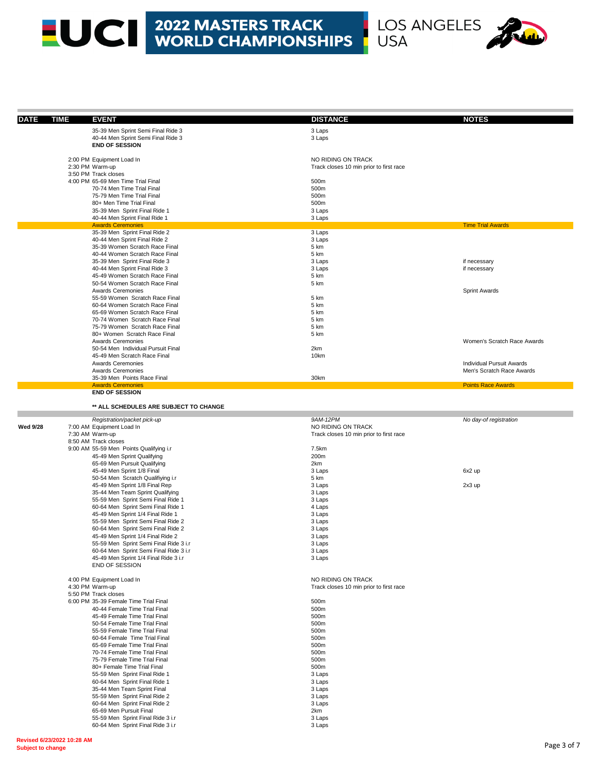### **EUCE 2022 MASTERS TRACK<br>WORLD CHAMPIONSHIPS**



| <b>DATE</b>     | <b>TIME</b><br><b>EVENT</b>                                             | <b>DISTANCE</b>                         | <b>NOTES</b>                |
|-----------------|-------------------------------------------------------------------------|-----------------------------------------|-----------------------------|
|                 | 35-39 Men Sprint Semi Final Ride 3                                      | 3 Laps                                  |                             |
|                 | 40-44 Men Sprint Semi Final Ride 3                                      | 3 Laps                                  |                             |
|                 | <b>END OF SESSION</b>                                                   |                                         |                             |
|                 |                                                                         | NO RIDING ON TRACK                      |                             |
|                 | 2:00 PM Equipment Load In<br>2:30 PM Warm-up                            | Track closes 10 min prior to first race |                             |
|                 | 3:50 PM Track closes                                                    |                                         |                             |
|                 | 4:00 PM 65-69 Men Time Trial Final                                      | 500m                                    |                             |
|                 | 70-74 Men Time Trial Final                                              | 500m                                    |                             |
|                 | 75-79 Men Time Trial Final                                              | 500m                                    |                             |
|                 | 80+ Men Time Trial Final                                                | 500m                                    |                             |
|                 | 35-39 Men Sprint Final Ride 1                                           | 3 Laps                                  |                             |
|                 | 40-44 Men Sprint Final Ride 1<br><b>Awards Ceremonies</b>               | 3 Laps                                  | <b>Time Trial Awards</b>    |
|                 | 35-39 Men Sprint Final Ride 2                                           | 3 Laps                                  |                             |
|                 | 40-44 Men Sprint Final Ride 2                                           | 3 Laps                                  |                             |
|                 | 35-39 Women Scratch Race Final                                          | 5 km                                    |                             |
|                 | 40-44 Women Scratch Race Final                                          | 5 km                                    |                             |
|                 | 35-39 Men Sprint Final Ride 3                                           | 3 Laps                                  | if necessary                |
|                 | 40-44 Men Sprint Final Ride 3                                           | 3 Laps                                  | if necessary                |
|                 | 45-49 Women Scratch Race Final<br>50-54 Women Scratch Race Final        | 5 km<br>5 km                            |                             |
|                 | <b>Awards Ceremonies</b>                                                |                                         | <b>Sprint Awards</b>        |
|                 | 55-59 Women Scratch Race Final                                          | 5 km                                    |                             |
|                 | 60-64 Women Scratch Race Final                                          | 5 km                                    |                             |
|                 | 65-69 Women Scratch Race Final                                          | 5 km                                    |                             |
|                 | 70-74 Women Scratch Race Final                                          | 5 km                                    |                             |
|                 | 75-79 Women Scratch Race Final                                          | 5 km                                    |                             |
|                 | 80+ Women Scratch Race Final<br><b>Awards Ceremonies</b>                | 5 km                                    | Women's Scratch Race Awards |
|                 | 50-54 Men Individual Pursuit Final                                      | 2km                                     |                             |
|                 | 45-49 Men Scratch Race Final                                            | 10km                                    |                             |
|                 | <b>Awards Ceremonies</b>                                                |                                         | Individual Pursuit Awards   |
|                 | <b>Awards Ceremonies</b>                                                |                                         | Men's Scratch Race Awards   |
|                 | 35-39 Men Points Race Final                                             | 30km                                    | <b>Points Race Awards</b>   |
|                 | <b>Awards Ceremonies</b><br><b>END OF SESSION</b>                       |                                         |                             |
|                 |                                                                         |                                         |                             |
|                 | ** ALL SCHEDULES ARE SUBJECT TO CHANGE                                  |                                         |                             |
|                 | Registration/packet pick-up                                             | 9AM-12PM                                | No day-of registration      |
| <b>Wed 9/28</b> | 7:00 AM Equipment Load In                                               | NO RIDING ON TRACK                      |                             |
|                 | 7:30 AM Warm-up                                                         | Track closes 10 min prior to first race |                             |
|                 | 8:50 AM Track closes                                                    |                                         |                             |
|                 | 9:00 AM 55-59 Men Points Qualifying i.r                                 | 7.5km                                   |                             |
|                 | 45-49 Men Sprint Qualifying                                             | 200m                                    |                             |
|                 | 65-69 Men Pursuit Qualifying<br>45-49 Men Sprint 1/8 Final              | 2km<br>3 Laps                           | 6x2 up                      |
|                 | 50-54 Men Scratch Qualifiying i.r                                       | 5 km                                    |                             |
|                 | 45-49 Men Sprint 1/8 Final Rep                                          | 3 Laps                                  | $2x3$ up                    |
|                 | 35-44 Men Team Sprint Qualifying                                        | 3 Laps                                  |                             |
|                 | 55-59 Men Sprint Semi Final Ride 1                                      | 3 Laps                                  |                             |
|                 | 60-64 Men Sprint Semi Final Ride 1                                      | 4 Laps                                  |                             |
|                 | 45-49 Men Sprint 1/4 Final Ride 1<br>55-59 Men Sprint Semi Final Ride 2 | 3 Laps<br>3 Laps                        |                             |
|                 | 60-64 Men Sprint Semi Final Ride 2                                      | 3 Laps                                  |                             |
|                 | 45-49 Men Sprint 1/4 Final Ride 2                                       | 3 Laps                                  |                             |
|                 | 55-59 Men Sprint Semi Final Ride 3 i.r                                  | 3 Laps                                  |                             |
|                 | 60-64 Men Sprint Semi Final Ride 3 i.r                                  | 3 Laps                                  |                             |
|                 | 45-49 Men Sprint 1/4 Final Ride 3 i.r                                   | 3 Laps                                  |                             |
|                 | <b>END OF SESSION</b>                                                   |                                         |                             |
|                 | 4:00 PM Equipment Load In                                               | NO RIDING ON TRACK                      |                             |
|                 | 4:30 PM Warm-up                                                         | Track closes 10 min prior to first race |                             |
|                 | 5:50 PM Track closes                                                    |                                         |                             |
|                 | 6:00 PM 35-39 Female Time Trial Final                                   | 500m                                    |                             |
|                 | 40-44 Female Time Trial Final                                           | 500m                                    |                             |
|                 | 45-49 Female Time Trial Final<br>50-54 Female Time Trial Final          | 500m                                    |                             |
|                 | 55-59 Female Time Trial Final                                           | 500m<br>500m                            |                             |
|                 | 60-64 Female Time Trial Final                                           | 500m                                    |                             |
|                 | 65-69 Female Time Trial Final                                           | 500m                                    |                             |
|                 | 70-74 Female Time Trial Final                                           | 500m                                    |                             |
|                 | 75-79 Female Time Trial Final                                           | 500m                                    |                             |
|                 | 80+ Female Time Trial Final                                             | 500m                                    |                             |
|                 | 55-59 Men Sprint Final Ride 1                                           | 3 Laps                                  |                             |
|                 | 60-64 Men Sprint Final Ride 1<br>35-44 Men Team Sprint Final            | 3 Laps<br>3 Laps                        |                             |
|                 | 55-59 Men Sprint Final Ride 2                                           | 3 Laps                                  |                             |
|                 | 60-64 Men Sprint Final Ride 2                                           | 3 Laps                                  |                             |
|                 | 65-69 Men Pursuit Final                                                 | 2km                                     |                             |
|                 | 55-59 Men Sprint Final Ride 3 i.r                                       | 3 Laps                                  |                             |
|                 | 60-64 Men Sprint Final Ride 3 i.r                                       | 3 Laps                                  |                             |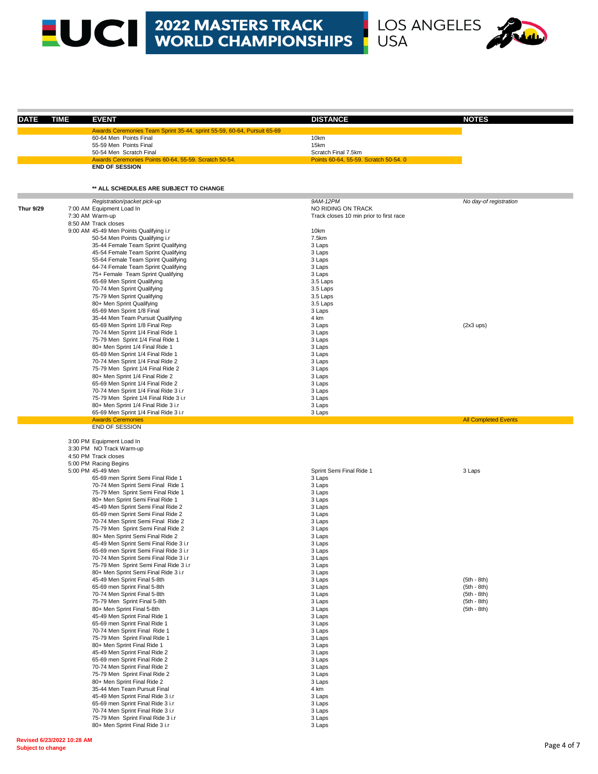# LOS ANGELES



.

| DATE             | <b>EVENT</b><br><b>TIME</b>                                              | <b>DISTANCE</b>                         | <b>NOTES</b>                |
|------------------|--------------------------------------------------------------------------|-----------------------------------------|-----------------------------|
|                  | Awards Ceremonies Team Sprint 35-44, sprint 55-59, 60-64, Pursuit 65-69  |                                         |                             |
|                  | 60-64 Men Points Final                                                   | 10km                                    |                             |
|                  | 55-59 Men Points Final                                                   | 15km                                    |                             |
|                  | 50-54 Men Scratch Final                                                  | Scratch Final 7.5km                     |                             |
|                  | Awards Ceremonies Points 60-64, 55-59. Scratch 50-54.                    | Points 60-64, 55-59. Scratch 50-54. 0   |                             |
|                  | <b>END OF SESSION</b>                                                    |                                         |                             |
|                  | ** ALL SCHEDULES ARE SUBJECT TO CHANGE                                   |                                         |                             |
|                  |                                                                          |                                         |                             |
| <b>Thur 9/29</b> | Registration/packet pick-up<br>7:00 AM Equipment Load In                 | 9AM-12PM<br>NO RIDING ON TRACK          | No day-of registration      |
|                  | 7:30 AM Warm-up                                                          | Track closes 10 min prior to first race |                             |
|                  | 8:50 AM Track closes                                                     |                                         |                             |
|                  | 9:00 AM 45-49 Men Points Qualifying i.r                                  | 10km                                    |                             |
|                  | 50-54 Men Points Qualifying i.r                                          | 7.5km                                   |                             |
|                  | 35-44 Female Team Sprint Qualifying                                      | 3 Laps                                  |                             |
|                  | 45-54 Female Team Sprint Qualifying                                      | 3 Laps                                  |                             |
|                  | 55-64 Female Team Sprint Qualifying                                      | 3 Laps                                  |                             |
|                  | 64-74 Female Team Sprint Qualifying                                      | 3 Laps                                  |                             |
|                  | 75+ Female Team Sprint Qualifying                                        | 3 Laps                                  |                             |
|                  | 65-69 Men Sprint Qualifying                                              | 3.5 Laps                                |                             |
|                  | 70-74 Men Sprint Qualifying                                              | 3.5 Laps                                |                             |
|                  | 75-79 Men Sprint Qualifying                                              | 3.5 Laps                                |                             |
|                  | 80+ Men Sprint Qualifying                                                | 3.5 Laps                                |                             |
|                  | 65-69 Men Sprint 1/8 Final                                               | 3 Laps                                  |                             |
|                  | 35-44 Men Team Pursuit Qualifying                                        | 4 km                                    |                             |
|                  | 65-69 Men Sprint 1/8 Final Rep                                           | 3 Laps                                  | (2x3 ups)                   |
|                  | 70-74 Men Sprint 1/4 Final Ride 1                                        | 3 Laps                                  |                             |
|                  | 75-79 Men Sprint 1/4 Final Ride 1                                        | 3 Laps                                  |                             |
|                  | 80+ Men Sprint 1/4 Final Ride 1                                          | 3 Laps                                  |                             |
|                  | 65-69 Men Sprint 1/4 Final Ride 1                                        | 3 Laps                                  |                             |
|                  | 70-74 Men Sprint 1/4 Final Ride 2                                        | 3 Laps                                  |                             |
|                  | 75-79 Men Sprint 1/4 Final Ride 2                                        | 3 Laps                                  |                             |
|                  | 80+ Men Sprint 1/4 Final Ride 2                                          | 3 Laps                                  |                             |
|                  | 65-69 Men Sprint 1/4 Final Ride 2                                        | 3 Laps                                  |                             |
|                  | 70-74 Men Sprint 1/4 Final Ride 3 i.r                                    | 3 Laps                                  |                             |
|                  | 75-79 Men Sprint 1/4 Final Ride 3 i.r                                    | 3 Laps                                  |                             |
|                  | 80+ Men Sprint 1/4 Final Ride 3 i.r                                      | 3 Laps                                  |                             |
|                  | 65-69 Men Sprint 1/4 Final Ride 3 i.r<br><b>Awards Ceremonies</b>        | 3 Laps                                  | <b>All Completed Events</b> |
|                  | END OF SESSION                                                           |                                         |                             |
|                  | 3:00 PM Equipment Load In                                                |                                         |                             |
|                  | 3:30 PM NO Track Warm-up                                                 |                                         |                             |
|                  | 4:50 PM Track closes                                                     |                                         |                             |
|                  | 5:00 PM Racing Begins                                                    |                                         |                             |
|                  | 5:00 PM 45-49 Men                                                        | Sprint Semi Final Ride 1                | 3 Laps                      |
|                  | 65-69 men Sprint Semi Final Ride 1                                       | 3 Laps                                  |                             |
|                  | 70-74 Men Sprint Semi Final Ride 1                                       | 3 Laps                                  |                             |
|                  | 75-79 Men Sprint Semi Final Ride 1                                       | 3 Laps                                  |                             |
|                  | 80+ Men Sprint Semi Final Ride 1                                         | 3 Laps                                  |                             |
|                  | 45-49 Men Sprint Semi Final Ride 2<br>65-69 men Sprint Semi Final Ride 2 | 3 Laps<br>3 Laps                        |                             |
|                  | 70-74 Men Sprint Semi Final Ride 2                                       | 3 Laps                                  |                             |
|                  | 75-79 Men Sprint Semi Final Ride 2                                       | 3 Laps                                  |                             |
|                  | 80+ Men Sprint Semi Final Ride 2                                         | 3 Laps                                  |                             |
|                  | 45-49 Men Sprint Semi Final Ride 3 i.r                                   | 3 Laps                                  |                             |
|                  | 65-69 men Sprint Semi Final Ride 3 i.r                                   | 3 Laps                                  |                             |
|                  | 70-74 Men Sprint Semi Final Ride 3 i.r                                   | 3 Laps                                  |                             |
|                  | 75-79 Men Sprint Semi Final Ride 3 i.r                                   | 3 Laps                                  |                             |
|                  | 80+ Men Sprint Semi Final Ride 3 i.r                                     | 3 Laps                                  |                             |
|                  | 45-49 Men Sprint Final 5-8th                                             | 3 Laps                                  | $(5th - 8th)$               |
|                  | 65-69 men Sprint Final 5-8th                                             | 3 Laps                                  | $(5th - 8th)$               |
|                  | 70-74 Men Sprint Final 5-8th                                             | 3 Laps                                  | $(5th - 8th)$               |
|                  | 75-79 Men Sprint Final 5-8th                                             | 3 Laps                                  | $(5th - 8th)$               |
|                  | 80+ Men Sprint Final 5-8th                                               | 3 Laps                                  | $(5th - 8th)$               |
|                  | 45-49 Men Sprint Final Ride 1                                            | 3 Laps                                  |                             |
|                  | 65-69 men Sprint Final Ride 1                                            | 3 Laps                                  |                             |
|                  | 70-74 Men Sprint Final Ride 1                                            | 3 Laps                                  |                             |
|                  | 75-79 Men Sprint Final Ride 1                                            | 3 Laps                                  |                             |
|                  | 80+ Men Sprint Final Ride 1                                              | 3 Laps                                  |                             |
|                  | 45-49 Men Sprint Final Ride 2                                            | 3 Laps                                  |                             |
|                  | 65-69 men Sprint Final Ride 2                                            | 3 Laps                                  |                             |
|                  | 70-74 Men Sprint Final Ride 2                                            | 3 Laps                                  |                             |
|                  | 75-79 Men Sprint Final Ride 2                                            | 3 Laps                                  |                             |
|                  | 80+ Men Sprint Final Ride 2                                              | 3 Laps                                  |                             |
|                  | 35-44 Men Team Pursuit Final                                             | 4 km                                    |                             |
|                  | 45-49 Men Sprint Final Ride 3 i.r                                        | 3 Laps                                  |                             |
|                  | 65-69 men Sprint Final Ride 3 i.r                                        | 3 Laps                                  |                             |
|                  | 70-74 Men Sprint Final Ride 3 i.r                                        | 3 Laps                                  |                             |
|                  | 75-79 Men Sprint Final Ride 3 i.r                                        | 3 Laps                                  |                             |
|                  | 80+ Men Sprint Final Ride 3 i.r                                          | 3 Laps                                  |                             |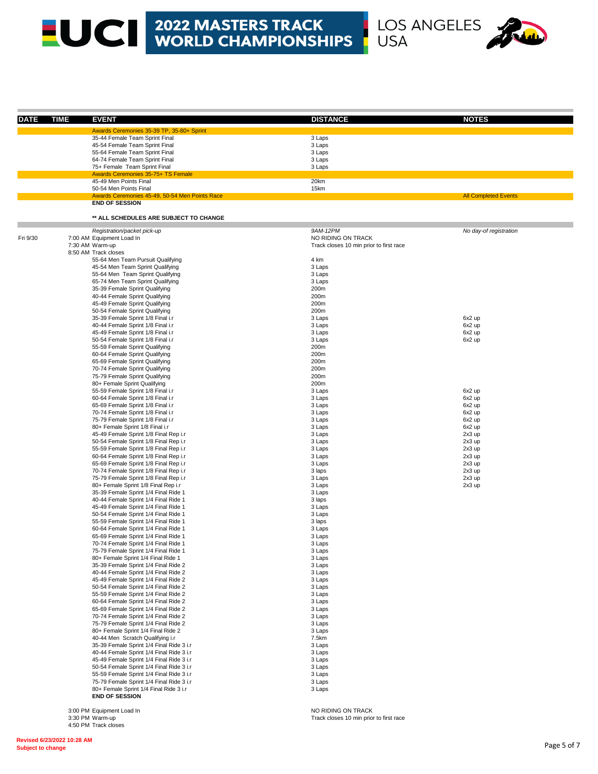

| <b>DATE</b> | <b>TIME</b> | <b>EVENT</b>                                                                         | <b>DISTANCE</b>                         | <b>NOTES</b>                |
|-------------|-------------|--------------------------------------------------------------------------------------|-----------------------------------------|-----------------------------|
|             |             |                                                                                      |                                         |                             |
|             |             | Awards Ceremonies 35-39 TP, 35-80+ Sprint<br>35-44 Female Team Sprint Final          | 3 Laps                                  |                             |
|             |             | 45-54 Female Team Sprint Final                                                       | 3 Laps                                  |                             |
|             |             | 55-64 Female Team Sprint Final                                                       | 3 Laps                                  |                             |
|             |             | 64-74 Female Team Sprint Final                                                       | 3 Laps                                  |                             |
|             |             | 75+ Female Team Sprint Final                                                         | 3 Laps                                  |                             |
|             |             | Awards Ceremonies 35-75+ TS Female                                                   |                                         |                             |
|             |             | 45-49 Men Points Final<br>50-54 Men Points Final                                     | 20km<br>15km                            |                             |
|             |             | Awards Ceremonies 45-49, 50-54 Men Points Race                                       |                                         | <b>All Completed Events</b> |
|             |             | <b>END OF SESSION</b>                                                                |                                         |                             |
|             |             |                                                                                      |                                         |                             |
|             |             | ** ALL SCHEDULES ARE SUBJECT TO CHANGE                                               |                                         |                             |
|             |             | Registration/packet pick-up                                                          | 9AM-12PM                                | No day-of registration      |
| Fri 9/30    |             | 7:00 AM Equipment Load In                                                            | NO RIDING ON TRACK                      |                             |
|             |             | 7:30 AM Warm-up<br>8:50 AM Track closes                                              | Track closes 10 min prior to first race |                             |
|             |             | 55-64 Men Team Pursuit Qualifying                                                    | 4 km                                    |                             |
|             |             | 45-54 Men Team Sprint Qualifying                                                     | 3 Laps                                  |                             |
|             |             | 55-64 Men Team Sprint Qualifying                                                     | 3 Laps                                  |                             |
|             |             | 65-74 Men Team Sprint Qualifying                                                     | 3 Laps                                  |                             |
|             |             | 35-39 Female Sprint Qualifying                                                       | 200m                                    |                             |
|             |             | 40-44 Female Sprint Qualifying                                                       | 200m                                    |                             |
|             |             | 45-49 Female Sprint Qualifying                                                       | 200m                                    |                             |
|             |             | 50-54 Female Sprint Qualifying<br>35-39 Female Sprint 1/8 Final i.r                  | 200m<br>3 Laps                          | 6x2 up                      |
|             |             | 40-44 Female Sprint 1/8 Final i.r                                                    | 3 Laps                                  | 6x2 up                      |
|             |             | 45-49 Female Sprint 1/8 Final i.r                                                    | 3 Laps                                  | 6x2 up                      |
|             |             | 50-54 Female Sprint 1/8 Final i.r                                                    | 3 Laps                                  | 6x2 up                      |
|             |             | 55-59 Female Sprint Qualifying                                                       | 200m                                    |                             |
|             |             | 60-64 Female Sprint Qualifying                                                       | 200m                                    |                             |
|             |             | 65-69 Female Sprint Qualifying                                                       | 200m                                    |                             |
|             |             | 70-74 Female Sprint Qualifying<br>75-79 Female Sprint Qualifying                     | 200m<br>200m                            |                             |
|             |             | 80+ Female Sprint Qualifying                                                         | 200m                                    |                             |
|             |             | 55-59 Female Sprint 1/8 Final i.r                                                    | 3 Laps                                  | 6x2 up                      |
|             |             | 60-64 Female Sprint 1/8 Final i.r                                                    | 3 Laps                                  | 6x2 up                      |
|             |             | 65-69 Female Sprint 1/8 Final i.r                                                    | 3 Laps                                  | 6x2 up                      |
|             |             | 70-74 Female Sprint 1/8 Final i.r                                                    | 3 Laps                                  | 6x2 up                      |
|             |             | 75-79 Female Sprint 1/8 Final i.r                                                    | 3 Laps                                  | 6x2 up                      |
|             |             | 80+ Female Sprint 1/8 Final i.r<br>45-49 Female Sprint 1/8 Final Rep i.r             | 3 Laps<br>3 Laps                        | 6x2 up<br>2x3 up            |
|             |             | 50-54 Female Sprint 1/8 Final Rep i.r                                                | 3 Laps                                  | 2x3 up                      |
|             |             | 55-59 Female Sprint 1/8 Final Rep i.r                                                | 3 Laps                                  | 2x3 up                      |
|             |             | 60-64 Female Sprint 1/8 Final Rep i.r                                                | 3 Laps                                  | 2x3 up                      |
|             |             | 65-69 Female Sprint 1/8 Final Rep i.r                                                | 3 Laps                                  | 2x3 up                      |
|             |             | 70-74 Female Sprint 1/8 Final Rep i.r                                                | 3 laps                                  | 2x3 up                      |
|             |             | 75-79 Female Sprint 1/8 Final Rep i.r                                                | 3 Laps                                  | 2x3 up                      |
|             |             | 80+ Female Sprint 1/8 Final Rep i.r<br>35-39 Female Sprint 1/4 Final Ride 1          | 3 Laps<br>3 Laps                        | 2x3 up                      |
|             |             | 40-44 Female Sprint 1/4 Final Ride 1                                                 | 3 laps                                  |                             |
|             |             | 45-49 Female Sprint 1/4 Final Ride 1                                                 | 3 Laps                                  |                             |
|             |             | 50-54 Female Sprint 1/4 Final Ride 1                                                 | 3 Laps                                  |                             |
|             |             | 55-59 Female Sprint 1/4 Final Ride 1                                                 | 3 laps                                  |                             |
|             |             | 60-64 Female Sprint 1/4 Final Ride 1                                                 | 3 Laps                                  |                             |
|             |             | 65-69 Female Sprint 1/4 Final Ride 1                                                 | 3 Laps                                  |                             |
|             |             | 70-74 Female Sprint 1/4 Final Ride 1                                                 | 3 Laps                                  |                             |
|             |             | 75-79 Female Sprint 1/4 Final Ride 1<br>80+ Female Sprint 1/4 Final Ride 1           | 3 Laps<br>3 Laps                        |                             |
|             |             | 35-39 Female Sprint 1/4 Final Ride 2                                                 | 3 Laps                                  |                             |
|             |             | 40-44 Female Sprint 1/4 Final Ride 2                                                 | 3 Laps                                  |                             |
|             |             | 45-49 Female Sprint 1/4 Final Ride 2                                                 | 3 Laps                                  |                             |
|             |             | 50-54 Female Sprint 1/4 Final Ride 2                                                 | 3 Laps                                  |                             |
|             |             | 55-59 Female Sprint 1/4 Final Ride 2                                                 | 3 Laps                                  |                             |
|             |             | 60-64 Female Sprint 1/4 Final Ride 2                                                 | 3 Laps                                  |                             |
|             |             | 65-69 Female Sprint 1/4 Final Ride 2<br>70-74 Female Sprint 1/4 Final Ride 2         | 3 Laps<br>3 Laps                        |                             |
|             |             | 75-79 Female Sprint 1/4 Final Ride 2                                                 | 3 Laps                                  |                             |
|             |             | 80+ Female Sprint 1/4 Final Ride 2                                                   | 3 Laps                                  |                             |
|             |             | 40-44 Men Scratch Qualifying i.r                                                     | 7.5km                                   |                             |
|             |             | 35-39 Female Sprint 1/4 Final Ride 3 i.r                                             | 3 Laps                                  |                             |
|             |             | 40-44 Female Sprint 1/4 Final Ride 3 i.r                                             | 3 Laps                                  |                             |
|             |             | 45-49 Female Sprint 1/4 Final Ride 3 i.r                                             | 3 Laps                                  |                             |
|             |             | 50-54 Female Sprint 1/4 Final Ride 3 i.r                                             | 3 Laps                                  |                             |
|             |             | 55-59 Female Sprint 1/4 Final Ride 3 i.r<br>75-79 Female Sprint 1/4 Final Ride 3 i.r | 3 Laps<br>3 Laps                        |                             |
|             |             | 80+ Female Sprint 1/4 Final Ride 3 i.r                                               | 3 Laps                                  |                             |
|             |             | <b>END OF SESSION</b>                                                                |                                         |                             |
|             |             |                                                                                      |                                         |                             |
|             |             | 3:00 PM Equipment Load In                                                            | NO RIDING ON TRACK                      |                             |

Track closes 10 min prior to first race

3:00 PM Equipment<br>3:30 PM Warm-up 4:50 PM Track closes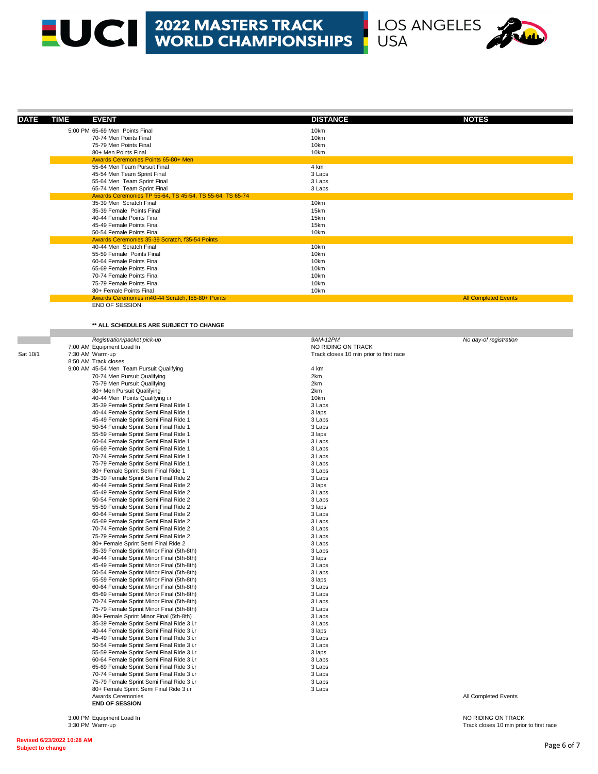

| <b>DATE</b> | <b>TIME</b><br><b>EVENT</b>                                                            | <b>DISTANCE</b>                         | <b>NOTES</b>                |
|-------------|----------------------------------------------------------------------------------------|-----------------------------------------|-----------------------------|
|             | 5:00 PM 65-69 Men Points Final                                                         | 10km                                    |                             |
|             | 70-74 Men Points Final                                                                 | 10km                                    |                             |
|             | 75-79 Men Points Final                                                                 | 10km                                    |                             |
|             | 80+ Men Points Final                                                                   | 10km                                    |                             |
|             | Awards Ceremonies Points 65-80+ Men<br>55-64 Men Team Pursuit Final                    | 4 km                                    |                             |
|             | 45-54 Men Team Sprint Final                                                            | 3 Laps                                  |                             |
|             | 55-64 Men Team Sprint Final                                                            | 3 Laps                                  |                             |
|             | 65-74 Men Team Sprint Final                                                            | 3 Laps                                  |                             |
|             | Awards Ceremonies TP 55-64, TS 45-54, TS 55-64, TS 65-74                               |                                         |                             |
|             | 35-39 Men Scratch Final                                                                | 10km                                    |                             |
|             | 35-39 Female Points Final<br>40-44 Female Points Final                                 | 15km<br>15km                            |                             |
|             | 45-49 Female Points Final                                                              | 15km                                    |                             |
|             | 50-54 Female Points Final                                                              | 10km                                    |                             |
|             | Awards Ceremonies 35-39 Scratch, f35-54 Points                                         |                                         |                             |
|             | 40-44 Men Scratch Final                                                                | 10km                                    |                             |
|             | 55-59 Female Points Final                                                              | 10km                                    |                             |
|             | 60-64 Female Points Final<br>65-69 Female Points Final                                 | 10km<br>10km                            |                             |
|             | 70-74 Female Points Final                                                              | 10km                                    |                             |
|             | 75-79 Female Points Final                                                              | 10km                                    |                             |
|             | 80+ Female Points Final                                                                | 10km                                    |                             |
|             | Awards Ceremonies m40-44 Scratch, f55-80+ Points                                       |                                         | <b>All Completed Events</b> |
|             | END OF SESSION                                                                         |                                         |                             |
|             |                                                                                        |                                         |                             |
|             | ** ALL SCHEDULES ARE SUBJECT TO CHANGE                                                 |                                         |                             |
|             | Registration/packet pick-up                                                            | 9AM-12PM                                | No day-of registration      |
|             | 7:00 AM Equipment Load In                                                              | NO RIDING ON TRACK                      |                             |
| Sat 10/1    | 7:30 AM Warm-up                                                                        | Track closes 10 min prior to first race |                             |
|             | 8:50 AM Track closes                                                                   |                                         |                             |
|             | 9:00 AM 45-54 Men Team Pursuit Qualifying                                              | 4 km                                    |                             |
|             | 70-74 Men Pursuit Qualifying<br>75-79 Men Pursuit Qualifying                           | 2km<br>2km                              |                             |
|             | 80+ Men Pursuit Qualifying                                                             | 2km                                     |                             |
|             | 40-44 Men Points Qualifying i.r                                                        | 10km                                    |                             |
|             | 35-39 Female Sprint Semi Final Ride 1                                                  | 3 Laps                                  |                             |
|             | 40-44 Female Sprint Semi Final Ride 1                                                  | 3 laps                                  |                             |
|             | 45-49 Female Sprint Semi Final Ride 1                                                  | 3 Laps                                  |                             |
|             | 50-54 Female Sprint Semi Final Ride 1<br>55-59 Female Sprint Semi Final Ride 1         | 3 Laps<br>3 laps                        |                             |
|             | 60-64 Female Sprint Semi Final Ride 1                                                  | 3 Laps                                  |                             |
|             | 65-69 Female Sprint Semi Final Ride 1                                                  | 3 Laps                                  |                             |
|             | 70-74 Female Sprint Semi Final Ride 1                                                  | 3 Laps                                  |                             |
|             | 75-79 Female Sprint Semi Final Ride 1                                                  | 3 Laps                                  |                             |
|             | 80+ Female Sprint Semi Final Ride 1<br>35-39 Female Sprint Semi Final Ride 2           | 3 Laps<br>3 Laps                        |                             |
|             | 40-44 Female Sprint Semi Final Ride 2                                                  | 3 laps                                  |                             |
|             | 45-49 Female Sprint Semi Final Ride 2                                                  | 3 Laps                                  |                             |
|             | 50-54 Female Sprint Semi Final Ride 2                                                  | 3 Laps                                  |                             |
|             | 55-59 Female Sprint Semi Final Ride 2                                                  | 3 laps                                  |                             |
|             | 60-64 Female Sprint Semi Final Ride 2<br>65-69 Female Sprint Semi Final Ride 2         | 3 Laps<br>3 Laps                        |                             |
|             | 70-74 Female Sprint Semi Final Ride 2                                                  | 3 Laps                                  |                             |
|             | 75-79 Female Sprint Semi Final Ride 2                                                  | 3 Laps                                  |                             |
|             | 80+ Female Sprint Semi Final Ride 2                                                    | 3 Laps                                  |                             |
|             | 35-39 Female Sprint Minor Final (5th-8th)                                              | 3 Laps                                  |                             |
|             | 40-44 Female Sprint Minor Final (5th-8th)<br>45-49 Female Sprint Minor Final (5th-8th) | 3 laps<br>3 Laps                        |                             |
|             | 50-54 Female Sprint Minor Final (5th-8th)                                              | 3 Laps                                  |                             |
|             | 55-59 Female Sprint Minor Final (5th-8th)                                              | 3 laps                                  |                             |
|             | 60-64 Female Sprint Minor Final (5th-8th)                                              | 3 Laps                                  |                             |
|             | 65-69 Female Sprint Minor Final (5th-8th)                                              | 3 Laps                                  |                             |
|             | 70-74 Female Sprint Minor Final (5th-8th)<br>75-79 Female Sprint Minor Final (5th-8th) | 3 Laps<br>3 Laps                        |                             |
|             | 80+ Female Sprint Minor Final (5th-8th)                                                | 3 Laps                                  |                             |
|             | 35-39 Female Sprint Semi Final Ride 3 i.r                                              | 3 Laps                                  |                             |
|             | 40-44 Female Sprint Semi Final Ride 3 i.r                                              | 3 laps                                  |                             |
|             | 45-49 Female Sprint Semi Final Ride 3 i.r                                              | 3 Laps                                  |                             |
|             | 50-54 Female Sprint Semi Final Ride 3 i.r                                              | 3 Laps                                  |                             |
|             | 55-59 Female Sprint Semi Final Ride 3 i.r<br>60-64 Female Sprint Semi Final Ride 3 i.r | 3 laps<br>3 Laps                        |                             |
|             | 65-69 Female Sprint Semi Final Ride 3 i.r                                              | 3 Laps                                  |                             |
|             | 70-74 Female Sprint Semi Final Ride 3 i.r                                              | 3 Laps                                  |                             |
|             | 75-79 Female Sprint Semi Final Ride 3 i.r                                              | 3 Laps                                  |                             |
|             | 80+ Female Sprint Semi Final Ride 3 i.r                                                | 3 Laps                                  |                             |
|             | <b>Awards Ceremonies</b><br><b>END OF SESSION</b>                                      |                                         | All Completed Events        |

3:00 PM Equipment Load In NO RIDING ON TRACK

Track closes 10 min prior to first race